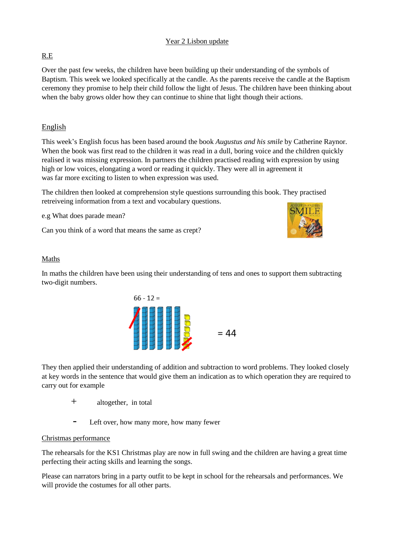### Year 2 Lisbon update

### R.E

Over the past few weeks, the children have been building up their understanding of the symbols of Baptism. This week we looked specifically at the candle. As the parents receive the candle at the Baptism ceremony they promise to help their child follow the light of Jesus. The children have been thinking about when the baby grows older how they can continue to shine that light though their actions.

# English

This week's English focus has been based around the book *Augustus and his smile* by Catherine Raynor. When the book was first read to the children it was read in a dull, boring voice and the children quickly realised it was missing expression. In partners the children practised reading with expression by using high or low voices, elongating a word or reading it quickly. They were all in agreement it was far more exciting to listen to when expression was used.

The children then looked at comprehension style questions surrounding this book. They practised retreiveing information from a text and vocabulary questions.

e.g What does parade mean?

Can you think of a word that means the same as crept?



#### Maths

In maths the children have been using their understanding of tens and ones to support them subtracting two-digit numbers.



They then applied their understanding of addition and subtraction to word problems. They looked closely at key words in the sentence that would give them an indication as to which operation they are required to carry out for example

- + altogether, in total
- Left over, how many more, how many fewer

#### Christmas performance

The rehearsals for the KS1 Christmas play are now in full swing and the children are having a great time perfecting their acting skills and learning the songs.

Please can narrators bring in a party outfit to be kept in school for the rehearsals and performances. We will provide the costumes for all other parts.